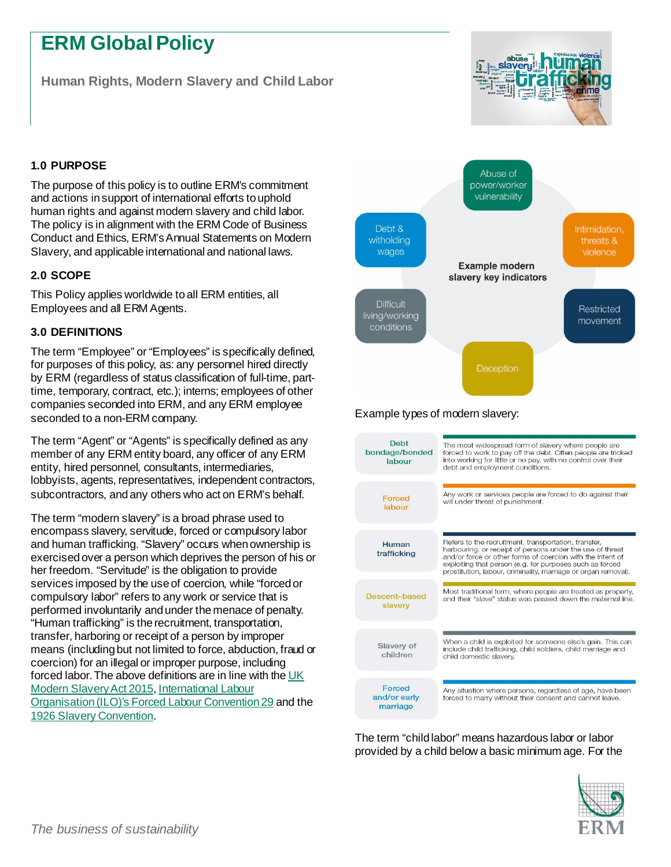# **ERM Global Policy**

**Human Rights, Modern Slavery and Child Labor** 



# **1.0 PURPOSE**

The purpose of this policy is to outline ERM's commitment and actions in support of international efforts to uphold human rights and against modern slavery and child labor. The policy is in alignment with the ERM Code of Business Conduct and Ethics, ERM'sAnnual Statements on Modern Slavery, and applicable international and national laws.

## **2.0 SCOPE**

This Policy applies worldwide to all ERM entities, all Employees and all ERM Agents.

## **3.0 DEFINITIONS**

The term "Employee" or "Employees" is specifically defined, for purposes of this policy, as: any personnel hired directly by ERM (regardless of status classification of full-time, parttime, temporary, contract, etc.); interns; employees of other companies seconded into ERM, and any ERM employee seconded to a non-ERM company.

The term "Agent" or "Agents" is specifically defined as any member of any ERM entity board, any officer of any ERM entity, hired personnel, consultants, intermediaries, lobbyists, agents, representatives, independent contractors, subcontractors, and any others who act on ERM's behalf.

The term "modern slavery" is a broad phrase used to encompass slavery, servitude, forced or compulsory labor and human trafficking. "Slavery" occurs when ownership is exercised over a person which deprives the person of his or her freedom. "Servitude" is the obligation to provide services imposed by the use of coercion, while "forced or compulsory labor" refers to any work or service that is performed involuntarily and under the menace of penalty. "Human trafficking" is the recruitment, transportation, transfer, harboring or receipt of a person by improper means (including but not limited to force, abduction, fraud or coercion) for an illegal or improper purpose, including forced labor.The above definitions are in line with th[e UK](https://www.gov.uk/government/publications/transparency-in-supply-chains-a-practical-guide/transparency-in-supply-chains-a-practical-guide#annex-a---modern-slavery-definition)  [Modern Slavery Act 2015](https://www.gov.uk/government/publications/transparency-in-supply-chains-a-practical-guide/transparency-in-supply-chains-a-practical-guide#annex-a---modern-slavery-definition)[, International Labour](https://www.ilo.org/global/topics/forced-labour/definition/lang--en/index.htm)  [Organisation \(ILO\)'s Forced Labour Convention 29](https://www.ilo.org/global/topics/forced-labour/definition/lang--en/index.htm) and the [1926 Slavery Convention.](https://www.ohchr.org/en/professionalinterest/pages/slaveryconvention.aspx)



## Example types of modern slavery:

| <b>Debt</b><br>bondage/bonded<br>labour | The most widespread form of slavery where people are<br>forced to work to pay off the debt. Often people are tricked<br>into working for little or no pay, with no control over their<br>debt and employment conditions.                                                                                      |
|-----------------------------------------|---------------------------------------------------------------------------------------------------------------------------------------------------------------------------------------------------------------------------------------------------------------------------------------------------------------|
| Forced<br>labour                        | Any work or services people are forced to do against their<br>will under threat of punishment.                                                                                                                                                                                                                |
| Human<br>trafficking                    | Refers to the recruitment, transportation, transfer,<br>harbouring, or receipt of persons under the use of threat<br>and/or force or other forms of coercion with the intent of<br>exploiting that person (e.g. for purposes such as forced<br>prostitution, labour, criminality, marriage or organ removal). |
| Descent-based<br>slavery                | Most traditional form, where people are treated as property,<br>and their "slave" status was passed down the maternal line.                                                                                                                                                                                   |
| Slavery of<br>children                  | When a child is exploited for someone else's gain. This can<br>include child trafficking, child soldiers, child marriage and<br>child domestic slavery.                                                                                                                                                       |
| Forced<br>and/or early<br>marriage      | Any situation where persons, regardless of age, have been<br>forced to marry without their consent and cannot leave.                                                                                                                                                                                          |

The term "child labor" means hazardous labor or labor provided by a child below a basic minimum age. For the

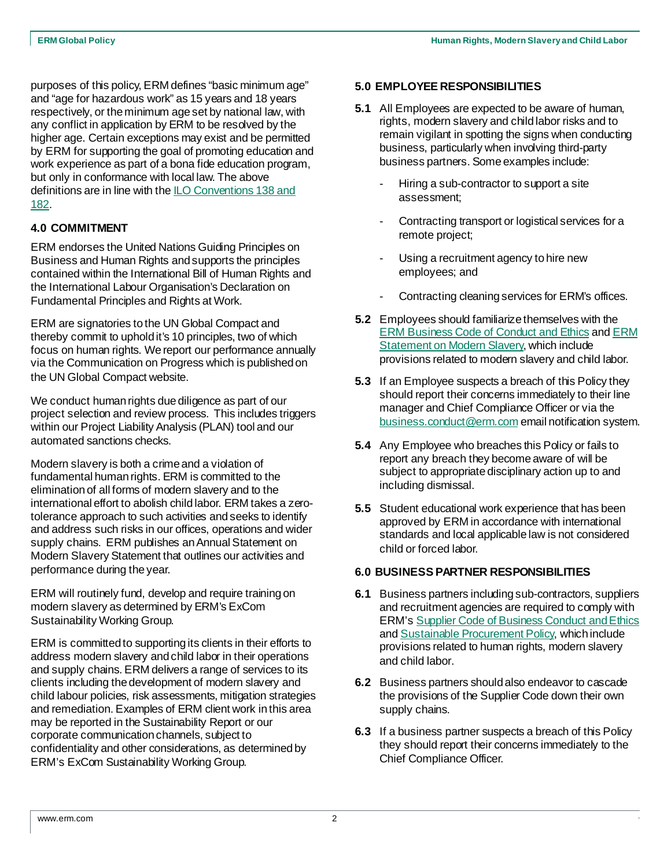purposes of this policy, ERM defines "basic minimum age" and "age for hazardous work" as 15 years and 18 years respectively, or the minimum age set by national law, with any conflict in application by ERM to be resolved by the higher age. Certain exceptions may exist and be permitted by ERM for supporting the goal of promoting education and work experience as part of a bona fide education program, but only in conformance with local law. The above definitions are in line with th[e ILO Conventions 138 and](https://www.ilo.org/global/standards/subjects-covered-by-international-labour-standards/child-labour/lang--en/index.htm)  [182.](https://www.ilo.org/global/standards/subjects-covered-by-international-labour-standards/child-labour/lang--en/index.htm)

## **4.0 COMMITMENT**

ERM endorses the United Nations Guiding Principles on Business and Human Rights and supports the principles contained within the International Bill of Human Rights and the International Labour Organisation's Declaration on Fundamental Principles and Rights at Work.

ERM are signatories to the UN Global Compact and thereby commit to uphold it's 10 principles, two of which focus on human rights. We report our performance annually via the Communication on Progress which is published on the UN Global Compact website.

We conduct human rights due diligence as part of our project selection and review process. This includes triggers within our Project Liability Analysis (PLAN) tool and our automated sanctions checks.

Modern slavery is both a crime and a violation of fundamental human rights. ERM is committed to the elimination of all forms of modern slavery and to the international effort to abolish child labor. ERM takes a zerotolerance approach to such activities and seeks to identify and address such risks in our offices, operations and wider supply chains. ERM publishes an Annual Statement on Modern Slavery Statement that outlines our activities and performance during the year.

ERM will routinely fund, develop and require training on modern slavery as determined by ERM's ExCom Sustainability Working Group.

ERM is committed to supporting its clients in their efforts to address modern slavery and child labor in their operations and supply chains. ERM delivers a range of services to its clients including the development of modern slavery and child labour policies, risk assessments, mitigation strategies and remediation. Examples of ERM client work in this area may be reported in the Sustainability Report or our corporate communication channels, subject to confidentiality and other considerations, as determined by ERM's ExCom Sustainability Working Group.

#### **5.0 EMPLOYEE RESPONSIBILITIES**

- **5.1** All Employees are expected to be aware of human, rights, modern slavery and child labor risks and to remain vigilant in spotting the signs when conducting business, particularly when involving third-party business partners. Some examples include:
	- Hiring a sub-contractor to support a site assessment;
	- Contracting transport or logistical services for a remote project;
	- Using a recruitment agency to hire new employees; and
	- Contracting cleaning services for ERM's offices.
- **5.2** Employees should familiarize themselves with the [ERM Business Code of Conduct and Ethics](https://www.erm.com/about/company/business-conduct-ethics/erms-global-code/) an[d ERM](https://www.erm.com/about/company/business-conduct-ethics/modern-slavery-act-statement/)  [Statement on Modern Slavery](https://www.erm.com/about/company/business-conduct-ethics/modern-slavery-act-statement/), which include provisions related to modern slavery and child labor.
- **5.3** If an Employee suspects a breach of this Policy they should report their concerns immediately to their line manager and Chief Compliance Officer or via the [business.conduct@erm.com](mailto:business.conduct@erm.com) email notification system.
- **5.4** Any Employee who breaches this Policy or fails to report any breach they become aware of will be subject to appropriate disciplinary action up to and including dismissal.
- **5.5** Student educational work experience that has been approved by ERM in accordance with international standards and local applicable law is not considered child or forced labor.

## **6.0 BUSINESS PARTNER RESPONSIBILITIES**

- **6.1** Business partners including sub-contractors, suppliers and recruitment agencies are required to comply with ERM'[s Supplier Code of Business Conduct and Ethics](https://www.erm.com/globalassets/documents/global-policies/supplier-code-business-conduct-ethics.pdf) an[d Sustainable Procurement Policy,](https://www.erm.com/globalassets/documents/global-policies/erm-sustainable-procurement-policy.pdf) which include provisions related to human rights, modern slavery and child labor.
- **6.2** Business partners should also endeavor to cascade the provisions of the Supplier Code down their own supply chains.
- **6.3** If a business partner suspects a breach of this Policy they should report their concerns immediately to the Chief Compliance Officer.